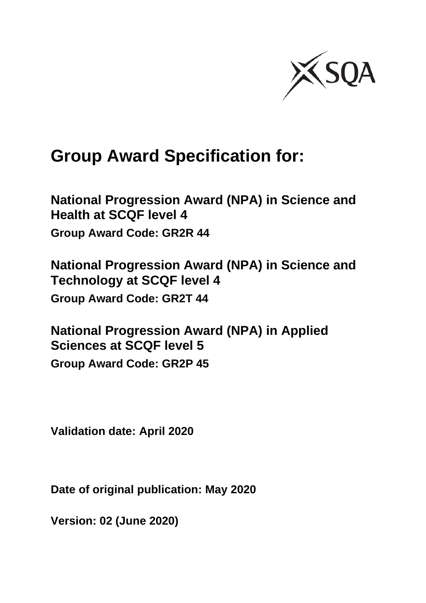

# **Group Award Specification for:**

**National Progression Award (NPA) in Science and Health at SCQF level 4 Group Award Code: GR2R 44**

**National Progression Award (NPA) in Science and Technology at SCQF level 4 Group Award Code: GR2T 44**

**National Progression Award (NPA) in Applied Sciences at SCQF level 5 Group Award Code: GR2P 45**

**Validation date: April 2020**

**Date of original publication: May 2020**

**Version: 02 (June 2020)**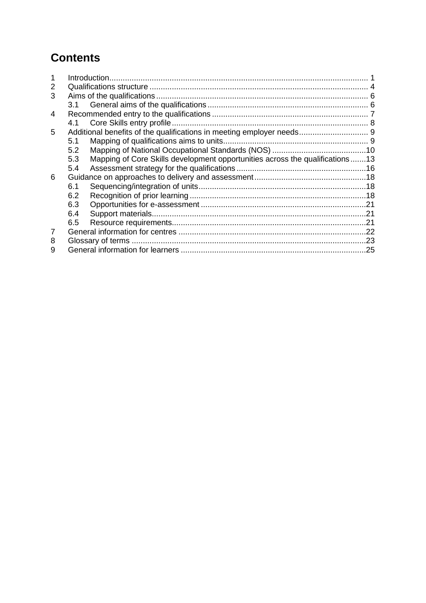# **Contents**

| 2 |     |                                                                              |  |
|---|-----|------------------------------------------------------------------------------|--|
| 3 |     |                                                                              |  |
|   |     |                                                                              |  |
| 4 |     |                                                                              |  |
|   | 4.1 |                                                                              |  |
| 5 |     |                                                                              |  |
|   | 5.1 |                                                                              |  |
|   | 5.2 |                                                                              |  |
|   | 5.3 | Mapping of Core Skills development opportunities across the qualifications13 |  |
|   | 5.4 |                                                                              |  |
| 6 |     |                                                                              |  |
|   | 6.1 |                                                                              |  |
|   | 6.2 |                                                                              |  |
|   | 6.3 |                                                                              |  |
|   | 6.4 |                                                                              |  |
|   | 6.5 |                                                                              |  |
|   |     |                                                                              |  |
| 8 |     |                                                                              |  |
| 9 |     |                                                                              |  |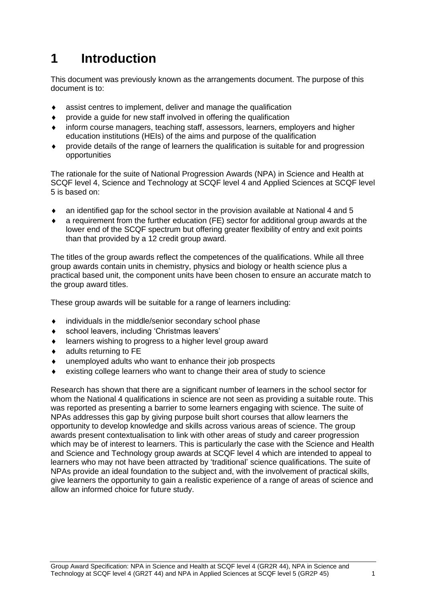# <span id="page-2-0"></span>**1 Introduction**

This document was previously known as the arrangements document. The purpose of this document is to:

- assist centres to implement, deliver and manage the qualification
- provide a guide for new staff involved in offering the qualification
- inform course managers, teaching staff, assessors, learners, employers and higher education institutions (HEIs) of the aims and purpose of the qualification
- provide details of the range of learners the qualification is suitable for and progression opportunities

The rationale for the suite of National Progression Awards (NPA) in Science and Health at SCQF level 4, Science and Technology at SCQF level 4 and Applied Sciences at SCQF level 5 is based on:

- an identified gap for the school sector in the provision available at National 4 and 5
- a requirement from the further education (FE) sector for additional group awards at the lower end of the SCQF spectrum but offering greater flexibility of entry and exit points than that provided by a 12 credit group award.

The titles of the group awards reflect the competences of the qualifications. While all three group awards contain units in chemistry, physics and biology or health science plus a practical based unit, the component units have been chosen to ensure an accurate match to the group award titles.

These group awards will be suitable for a range of learners including:

- individuals in the middle/senior secondary school phase
- school leavers, including 'Christmas leavers'
- learners wishing to progress to a higher level group award
- adults returning to FE
- unemployed adults who want to enhance their job prospects
- existing college learners who want to change their area of study to science

Research has shown that there are a significant number of learners in the school sector for whom the National 4 qualifications in science are not seen as providing a suitable route. This was reported as presenting a barrier to some learners engaging with science. The suite of NPAs addresses this gap by giving purpose built short courses that allow learners the opportunity to develop knowledge and skills across various areas of science. The group awards present contextualisation to link with other areas of study and career progression which may be of interest to learners. This is particularly the case with the Science and Health and Science and Technology group awards at SCQF level 4 which are intended to appeal to learners who may not have been attracted by 'traditional' science qualifications. The suite of NPAs provide an ideal foundation to the subject and, with the involvement of practical skills, give learners the opportunity to gain a realistic experience of a range of areas of science and allow an informed choice for future study.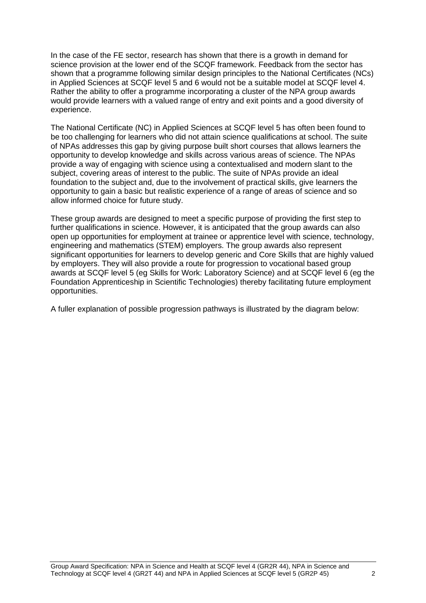In the case of the FE sector, research has shown that there is a growth in demand for science provision at the lower end of the SCQF framework. Feedback from the sector has shown that a programme following similar design principles to the National Certificates (NCs) in Applied Sciences at SCQF level 5 and 6 would not be a suitable model at SCQF level 4. Rather the ability to offer a programme incorporating a cluster of the NPA group awards would provide learners with a valued range of entry and exit points and a good diversity of experience.

The National Certificate (NC) in Applied Sciences at SCQF level 5 has often been found to be too challenging for learners who did not attain science qualifications at school. The suite of NPAs addresses this gap by giving purpose built short courses that allows learners the opportunity to develop knowledge and skills across various areas of science. The NPAs provide a way of engaging with science using a contextualised and modern slant to the subject, covering areas of interest to the public. The suite of NPAs provide an ideal foundation to the subject and, due to the involvement of practical skills, give learners the opportunity to gain a basic but realistic experience of a range of areas of science and so allow informed choice for future study.

These group awards are designed to meet a specific purpose of providing the first step to further qualifications in science. However, it is anticipated that the group awards can also open up opportunities for employment at trainee or apprentice level with science, technology, engineering and mathematics (STEM) employers. The group awards also represent significant opportunities for learners to develop generic and Core Skills that are highly valued by employers. They will also provide a route for progression to vocational based group awards at SCQF level 5 (eg Skills for Work: Laboratory Science) and at SCQF level 6 (eg the Foundation Apprenticeship in Scientific Technologies) thereby facilitating future employment opportunities.

A fuller explanation of possible progression pathways is illustrated by the diagram below: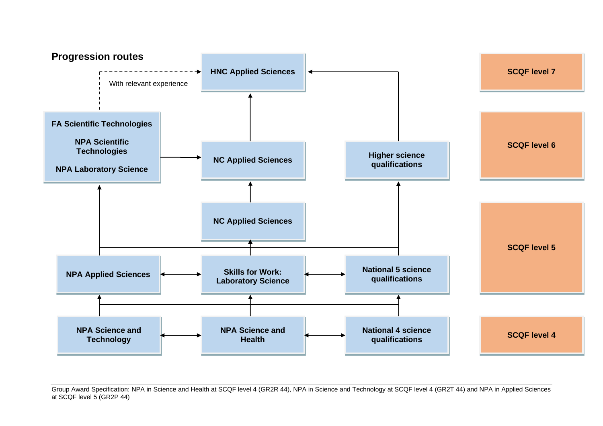

Group Award Specification: NPA in Science and Health at SCQF level 4 (GR2R 44), NPA in Science and Technology at SCQF level 4 (GR2T 44) and NPA in Applied Sciences at SCQF level 5 (GR2P 44)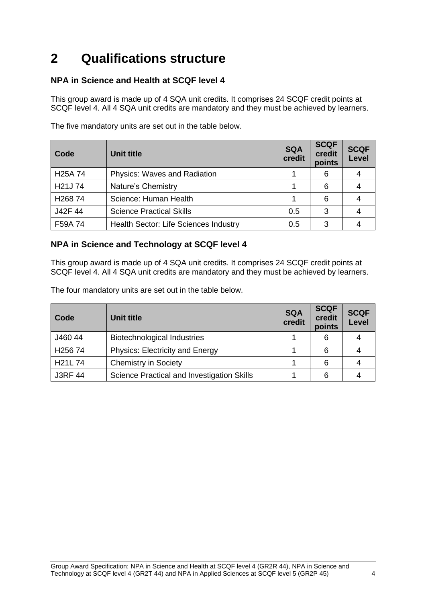# <span id="page-5-0"></span>**2 Qualifications structure**

## **NPA in Science and Health at SCQF level 4**

This group award is made up of 4 SQA unit credits. It comprises 24 SCQF credit points at SCQF level 4. All 4 SQA unit credits are mandatory and they must be achieved by learners.

| Code                 | Unit title                            | <b>SQA</b><br>credit | <b>SCQF</b><br>credit<br>points | <b>SCQF</b><br>Level |
|----------------------|---------------------------------------|----------------------|---------------------------------|----------------------|
| H <sub>25</sub> A 74 | <b>Physics: Waves and Radiation</b>   |                      | 6                               |                      |
| H21J74               | Nature's Chemistry                    |                      | 6                               |                      |
| H <sub>268</sub> 74  | Science: Human Health                 |                      | 6                               |                      |
| J42F 44              | <b>Science Practical Skills</b>       | 0.5                  | 3                               |                      |
| F59A 74              | Health Sector: Life Sciences Industry | 0.5                  | 3                               |                      |

The five mandatory units are set out in the table below.

### **NPA in Science and Technology at SCQF level 4**

This group award is made up of 4 SQA unit credits. It comprises 24 SCQF credit points at SCQF level 4. All 4 SQA unit credits are mandatory and they must be achieved by learners.

The four mandatory units are set out in the table below.

| Code                 | Unit title                                 | <b>SQA</b><br>credit | <b>SCQF</b><br>credit<br>points | <b>SCQF</b><br>Level |
|----------------------|--------------------------------------------|----------------------|---------------------------------|----------------------|
| J460 44              | Biotechnological Industries                |                      | 6                               |                      |
| H <sub>256</sub> 74  | <b>Physics: Electricity and Energy</b>     |                      | 6                               |                      |
| H <sub>21</sub> L 74 | <b>Chemistry in Society</b>                |                      | 6                               |                      |
| <b>J3RF 44</b>       | Science Practical and Investigation Skills |                      | 6                               |                      |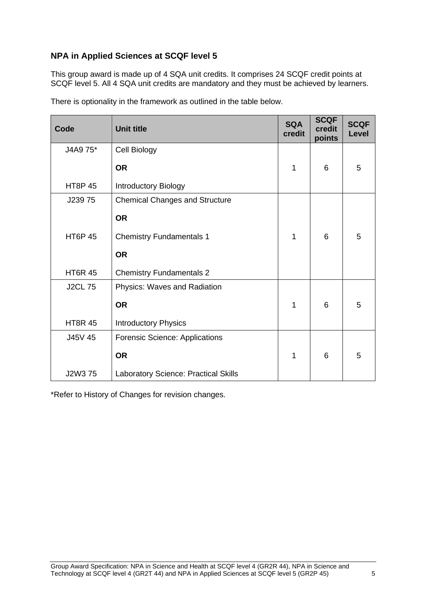## **NPA in Applied Sciences at SCQF level 5**

This group award is made up of 4 SQA unit credits. It comprises 24 SCQF credit points at SCQF level 5. All 4 SQA unit credits are mandatory and they must be achieved by learners.

| Code           | <b>Unit title</b>                           | <b>SQA</b><br>credit | <b>SCQF</b><br>credit<br>points | <b>SCQF</b><br>Level |
|----------------|---------------------------------------------|----------------------|---------------------------------|----------------------|
| J4A9 75*       | Cell Biology                                |                      |                                 |                      |
|                | <b>OR</b>                                   | 1                    | 6                               | 5                    |
| <b>HT8P 45</b> | <b>Introductory Biology</b>                 |                      |                                 |                      |
| J23975         | <b>Chemical Changes and Structure</b>       |                      |                                 |                      |
|                | <b>OR</b>                                   |                      |                                 |                      |
| <b>HT6P 45</b> | <b>Chemistry Fundamentals 1</b>             | 1                    | 6                               | 5                    |
|                | <b>OR</b>                                   |                      |                                 |                      |
| <b>HT6R 45</b> | <b>Chemistry Fundamentals 2</b>             |                      |                                 |                      |
| <b>J2CL 75</b> | Physics: Waves and Radiation                |                      |                                 |                      |
|                | <b>OR</b>                                   | 1                    | 6                               | 5                    |
| <b>HT8R 45</b> | <b>Introductory Physics</b>                 |                      |                                 |                      |
| J45V 45        | <b>Forensic Science: Applications</b>       |                      |                                 |                      |
|                | <b>OR</b>                                   | 1                    | 6                               | 5                    |
| J2W3 75        | <b>Laboratory Science: Practical Skills</b> |                      |                                 |                      |

There is optionality in the framework as outlined in the table below.

\*Refer to History of Changes for revision changes.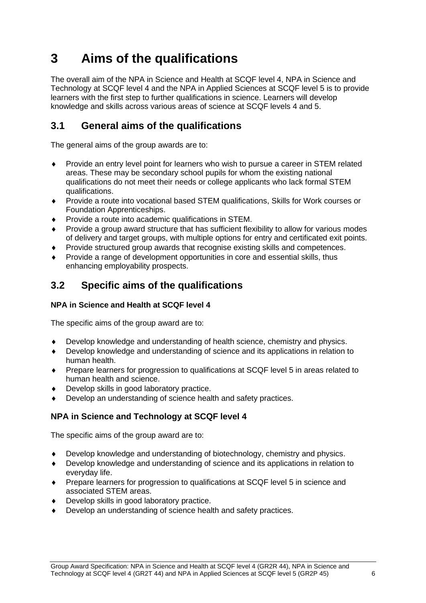# <span id="page-7-0"></span>**3 Aims of the qualifications**

The overall aim of the NPA in Science and Health at SCQF level 4, NPA in Science and Technology at SCQF level 4 and the NPA in Applied Sciences at SCQF level 5 is to provide learners with the first step to further qualifications in science. Learners will develop knowledge and skills across various areas of science at SCQF levels 4 and 5.

# <span id="page-7-1"></span>**3.1 General aims of the qualifications**

The general aims of the group awards are to:

- Provide an entry level point for learners who wish to pursue a career in STEM related areas. These may be secondary school pupils for whom the existing national qualifications do not meet their needs or college applicants who lack formal STEM qualifications.
- Provide a route into vocational based STEM qualifications, Skills for Work courses or Foundation Apprenticeships.
- Provide a route into academic qualifications in STEM.
- Provide a group award structure that has sufficient flexibility to allow for various modes of delivery and target groups, with multiple options for entry and certificated exit points.
- Provide structured group awards that recognise existing skills and competences.
- Provide a range of development opportunities in core and essential skills, thus enhancing employability prospects.

# **3.2 Specific aims of the qualifications**

## **NPA in Science and Health at SCQF level 4**

The specific aims of the group award are to:

- Develop knowledge and understanding of health science, chemistry and physics.
- Develop knowledge and understanding of science and its applications in relation to human health.
- Prepare learners for progression to qualifications at SCQF level 5 in areas related to human health and science.
- Develop skills in good laboratory practice.
- Develop an understanding of science health and safety practices.

## **NPA in Science and Technology at SCQF level 4**

The specific aims of the group award are to:

- Develop knowledge and understanding of biotechnology, chemistry and physics.
- Develop knowledge and understanding of science and its applications in relation to everyday life.
- Prepare learners for progression to qualifications at SCQF level 5 in science and associated STEM areas.
- Develop skills in good laboratory practice.
- Develop an understanding of science health and safety practices.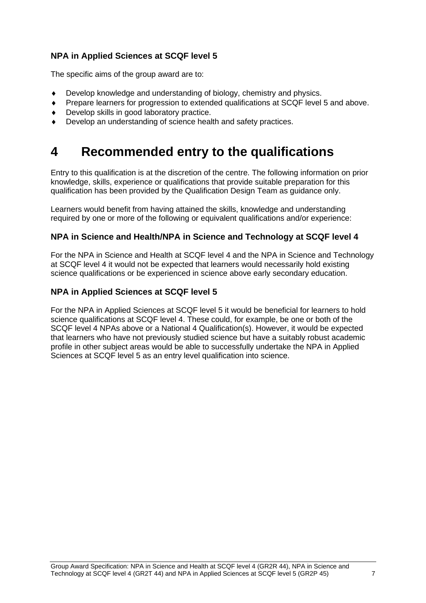## **NPA in Applied Sciences at SCQF level 5**

The specific aims of the group award are to:

- Develop knowledge and understanding of biology, chemistry and physics.
- Prepare learners for progression to extended qualifications at SCQF level 5 and above.
- Develop skills in good laboratory practice.
- Develop an understanding of science health and safety practices.

# <span id="page-8-0"></span>**4 Recommended entry to the qualifications**

Entry to this qualification is at the discretion of the centre. The following information on prior knowledge, skills, experience or qualifications that provide suitable preparation for this qualification has been provided by the Qualification Design Team as guidance only.

Learners would benefit from having attained the skills, knowledge and understanding required by one or more of the following or equivalent qualifications and/or experience:

### **NPA in Science and Health/NPA in Science and Technology at SCQF level 4**

For the NPA in Science and Health at SCQF level 4 and the NPA in Science and Technology at SCQF level 4 it would not be expected that learners would necessarily hold existing science qualifications or be experienced in science above early secondary education.

### **NPA in Applied Sciences at SCQF level 5**

For the NPA in Applied Sciences at SCQF level 5 it would be beneficial for learners to hold science qualifications at SCQF level 4. These could, for example, be one or both of the SCQF level 4 NPAs above or a National 4 Qualification(s). However, it would be expected that learners who have not previously studied science but have a suitably robust academic profile in other subject areas would be able to successfully undertake the NPA in Applied Sciences at SCQF level 5 as an entry level qualification into science.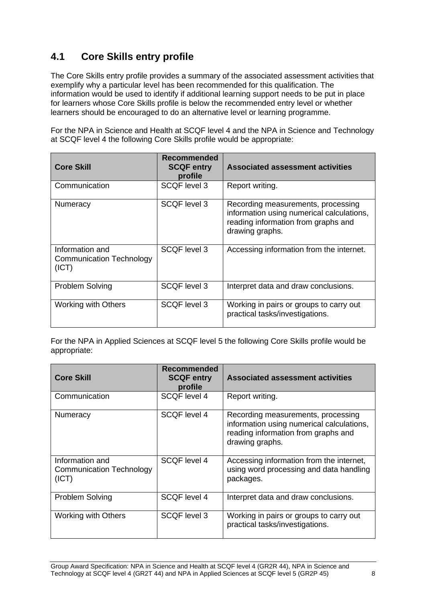# <span id="page-9-0"></span>**4.1 Core Skills entry profile**

The Core Skills entry profile provides a summary of the associated assessment activities that exemplify why a particular level has been recommended for this qualification. The information would be used to identify if additional learning support needs to be put in place for learners whose Core Skills profile is below the recommended entry level or whether learners should be encouraged to do an alternative level or learning programme.

For the NPA in Science and Health at SCQF level 4 and the NPA in Science and Technology at SCQF level 4 the following Core Skills profile would be appropriate:

| <b>Core Skill</b>                                           | Recommended<br><b>SCQF entry</b><br>profile | Associated assessment activities                                                                                                          |
|-------------------------------------------------------------|---------------------------------------------|-------------------------------------------------------------------------------------------------------------------------------------------|
| Communication                                               | SCQF level 3                                | Report writing.                                                                                                                           |
| <b>Numeracy</b>                                             | <b>SCQF level 3</b>                         | Recording measurements, processing<br>information using numerical calculations,<br>reading information from graphs and<br>drawing graphs. |
| Information and<br><b>Communication Technology</b><br>(ICT) | SCQF level 3                                | Accessing information from the internet.                                                                                                  |
| <b>Problem Solving</b>                                      | <b>SCQF</b> level 3                         | Interpret data and draw conclusions.                                                                                                      |
| Working with Others                                         | SCQF level 3                                | Working in pairs or groups to carry out<br>practical tasks/investigations.                                                                |

For the NPA in Applied Sciences at SCQF level 5 the following Core Skills profile would be appropriate:

| <b>Core Skill</b>                                           | <b>Recommended</b><br><b>SCQF entry</b><br>profile | <b>Associated assessment activities</b>                                                                                                   |
|-------------------------------------------------------------|----------------------------------------------------|-------------------------------------------------------------------------------------------------------------------------------------------|
| Communication                                               | SCQF level 4                                       | Report writing.                                                                                                                           |
| Numeracy                                                    | <b>SCQF</b> level 4                                | Recording measurements, processing<br>information using numerical calculations,<br>reading information from graphs and<br>drawing graphs. |
| Information and<br><b>Communication Technology</b><br>(ICT) | SCQF level 4                                       | Accessing information from the internet,<br>using word processing and data handling<br>packages.                                          |
| <b>Problem Solving</b>                                      | SCQF level 4                                       | Interpret data and draw conclusions.                                                                                                      |
| <b>Working with Others</b>                                  | SCQF level 3                                       | Working in pairs or groups to carry out<br>practical tasks/investigations.                                                                |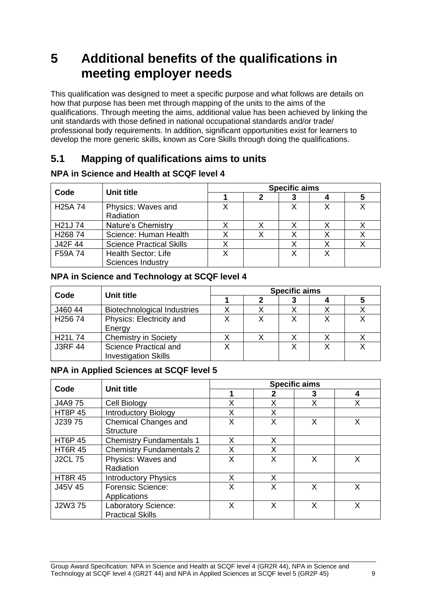# <span id="page-10-0"></span>**5 Additional benefits of the qualifications in meeting employer needs**

This qualification was designed to meet a specific purpose and what follows are details on how that purpose has been met through mapping of the units to the aims of the qualifications. Through meeting the aims, additional value has been achieved by linking the unit standards with those defined in national occupational standards and/or trade/ professional body requirements. In addition, significant opportunities exist for learners to develop the more generic skills, known as Core Skills through doing the qualifications.

# <span id="page-10-1"></span>**5.1 Mapping of qualifications aims to units**

|                      |                                                        | <b>Specific aims</b> |  |  |  |  |  |  |  |
|----------------------|--------------------------------------------------------|----------------------|--|--|--|--|--|--|--|
| Code                 | Unit title                                             |                      |  |  |  |  |  |  |  |
| H <sub>25</sub> A 74 | Physics: Waves and<br>Radiation                        |                      |  |  |  |  |  |  |  |
| H <sub>21</sub> J 74 | Nature's Chemistry                                     |                      |  |  |  |  |  |  |  |
| H26874               | Science: Human Health                                  |                      |  |  |  |  |  |  |  |
| J42F 44              | <b>Science Practical Skills</b>                        |                      |  |  |  |  |  |  |  |
| F59A 74              | <b>Health Sector: Life</b><br><b>Sciences Industry</b> |                      |  |  |  |  |  |  |  |

## **NPA in Science and Health at SCQF level 4**

## **NPA in Science and Technology at SCQF level 4**

|                                 | Unit title                                                  | <b>Specific aims</b> |  |  |  |   |  |  |  |
|---------------------------------|-------------------------------------------------------------|----------------------|--|--|--|---|--|--|--|
| Code                            |                                                             |                      |  |  |  | C |  |  |  |
| J460 44                         | <b>Biotechnological Industries</b>                          |                      |  |  |  |   |  |  |  |
| H <sub>256</sub> 74             | Physics: Electricity and<br>Energy                          |                      |  |  |  |   |  |  |  |
| H <sub>21</sub> L <sub>74</sub> | <b>Chemistry in Society</b>                                 |                      |  |  |  |   |  |  |  |
| <b>J3RF 44</b>                  | <b>Science Practical and</b><br><b>Investigation Skills</b> |                      |  |  |  |   |  |  |  |

## **NPA in Applied Sciences at SCQF level 5**

|                | Unit title                      | <b>Specific aims</b> |   |   |   |  |  |
|----------------|---------------------------------|----------------------|---|---|---|--|--|
| Code           |                                 |                      |   | 3 | 4 |  |  |
| J4A9 75        | Cell Biology                    | Χ                    | Χ | Х |   |  |  |
| <b>HT8P 45</b> | <b>Introductory Biology</b>     |                      | Χ |   |   |  |  |
| J23975         | <b>Chemical Changes and</b>     | Χ                    | X | X | X |  |  |
|                | <b>Structure</b>                |                      |   |   |   |  |  |
| <b>HT6P 45</b> | <b>Chemistry Fundamentals 1</b> | X                    | X |   |   |  |  |
| <b>HT6R 45</b> | <b>Chemistry Fundamentals 2</b> | X                    | X |   |   |  |  |
| <b>J2CL 75</b> | Physics: Waves and              | X                    | X | X | X |  |  |
|                | Radiation                       |                      |   |   |   |  |  |
| <b>HT8R 45</b> | <b>Introductory Physics</b>     | X                    | X |   |   |  |  |
| J45V 45        | <b>Forensic Science:</b>        | Χ                    | Χ | X | X |  |  |
|                | Applications                    |                      |   |   |   |  |  |
| J2W3 75        | Laboratory Science:             | X                    | Χ | X | X |  |  |
|                | <b>Practical Skills</b>         |                      |   |   |   |  |  |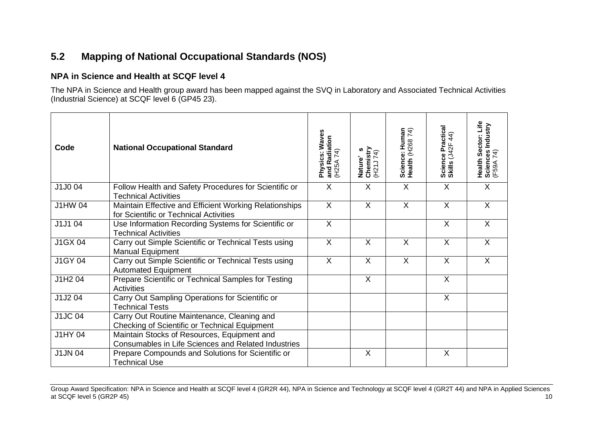# **5.2 Mapping of National Occupational Standards (NOS)**

### **NPA in Science and Health at SCQF level 4**

The NPA in Science and Health group award has been mapped against the SVQ in Laboratory and Associated Technical Activities (Industrial Science) at SCQF level 6 (GP45 23).

<span id="page-11-0"></span>

| Code           | <b>National Occupational Standard</b>                                                              | Physics: Waves<br>and Radiation<br>(H25A 74) | Nature's<br>Chemistry<br>(H21J 74) | Science: Human<br>Health (H268 74) | Science Practical<br>Skills (J42F 44) | Health Sector: Life<br>Sciences Industry<br>(F59A 74) |
|----------------|----------------------------------------------------------------------------------------------------|----------------------------------------------|------------------------------------|------------------------------------|---------------------------------------|-------------------------------------------------------|
| J1J004         | Follow Health and Safety Procedures for Scientific or<br><b>Technical Activities</b>               | X                                            | X                                  | X                                  | $\sf X$                               | X                                                     |
| <b>J1HW04</b>  | Maintain Effective and Efficient Working Relationships<br>for Scientific or Technical Activities   | $\mathsf{X}$                                 | $\sf X$                            | X                                  | $\sf X$                               | $\mathsf{X}$                                          |
| J1J104         | Use Information Recording Systems for Scientific or<br><b>Technical Activities</b>                 | $\sf X$                                      |                                    |                                    | X                                     | $\mathsf{X}$                                          |
| J1GX 04        | Carry out Simple Scientific or Technical Tests using<br><b>Manual Equipment</b>                    | $\sf X$                                      | $\sf X$                            | $\sf X$                            | $\sf X$                               | $\mathsf{X}$                                          |
| <b>J1GY 04</b> | Carry out Simple Scientific or Technical Tests using<br><b>Automated Equipment</b>                 | $\sf X$                                      | X                                  | $\mathsf{X}$                       | $\sf X$                               | X                                                     |
| J1H2 04        | Prepare Scientific or Technical Samples for Testing<br>Activities                                  |                                              | $\sf X$                            |                                    | $\sf X$                               |                                                       |
| J1J204         | Carry Out Sampling Operations for Scientific or<br><b>Technical Tests</b>                          |                                              |                                    |                                    | X                                     |                                                       |
| <b>J1JC04</b>  | Carry Out Routine Maintenance, Cleaning and<br>Checking of Scientific or Technical Equipment       |                                              |                                    |                                    |                                       |                                                       |
| <b>J1HY 04</b> | Maintain Stocks of Resources, Equipment and<br>Consumables in Life Sciences and Related Industries |                                              |                                    |                                    |                                       |                                                       |
| <b>J1JN 04</b> | Prepare Compounds and Solutions for Scientific or<br><b>Technical Use</b>                          |                                              | $\times$                           |                                    | X                                     |                                                       |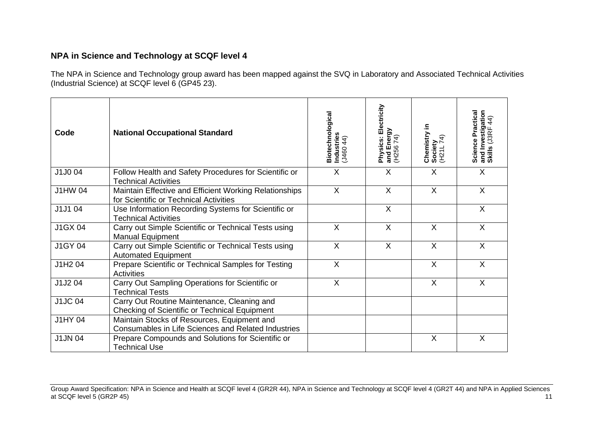## **NPA in Science and Technology at SCQF level 4**

The NPA in Science and Technology group award has been mapped against the SVQ in Laboratory and Associated Technical Activities (Industrial Science) at SCQF level 6 (GP45 23).

| Code           | <b>National Occupational Standard</b>                                                              | Biotechnological<br>Industries<br>(J460 44) | Physics: Electricity<br>and Energy<br>(H256 74) | Chemistry in<br>Society<br>(H21L 74) | Science Practical<br>and Investigation<br>Skills (J3RF 44) |
|----------------|----------------------------------------------------------------------------------------------------|---------------------------------------------|-------------------------------------------------|--------------------------------------|------------------------------------------------------------|
| J1J004         | Follow Health and Safety Procedures for Scientific or<br><b>Technical Activities</b>               | X                                           | X                                               | X                                    | X                                                          |
| <b>J1HW04</b>  | Maintain Effective and Efficient Working Relationships<br>for Scientific or Technical Activities   | X                                           | $\sf X$                                         | X                                    | $\sf X$                                                    |
| J1J104         | Use Information Recording Systems for Scientific or<br><b>Technical Activities</b>                 |                                             | $\sf X$                                         |                                      | X                                                          |
| J1GX 04        | Carry out Simple Scientific or Technical Tests using<br><b>Manual Equipment</b>                    | $\sf X$                                     | $\sf X$                                         | $\sf X$                              | $\sf X$                                                    |
| <b>J1GY 04</b> | Carry out Simple Scientific or Technical Tests using<br><b>Automated Equipment</b>                 | $\sf X$                                     | $\sf X$                                         | $\times$                             | X                                                          |
| J1H2 04        | Prepare Scientific or Technical Samples for Testing<br><b>Activities</b>                           | X                                           |                                                 | $\sf X$                              | $\sf X$                                                    |
| J1J204         | Carry Out Sampling Operations for Scientific or<br><b>Technical Tests</b>                          | $\sf X$                                     |                                                 | $\sf X$                              | X                                                          |
| <b>J1JC04</b>  | Carry Out Routine Maintenance, Cleaning and<br>Checking of Scientific or Technical Equipment       |                                             |                                                 |                                      |                                                            |
| <b>J1HY 04</b> | Maintain Stocks of Resources, Equipment and<br>Consumables in Life Sciences and Related Industries |                                             |                                                 |                                      |                                                            |
| <b>J1JN 04</b> | Prepare Compounds and Solutions for Scientific or<br><b>Technical Use</b>                          |                                             |                                                 | X                                    | X                                                          |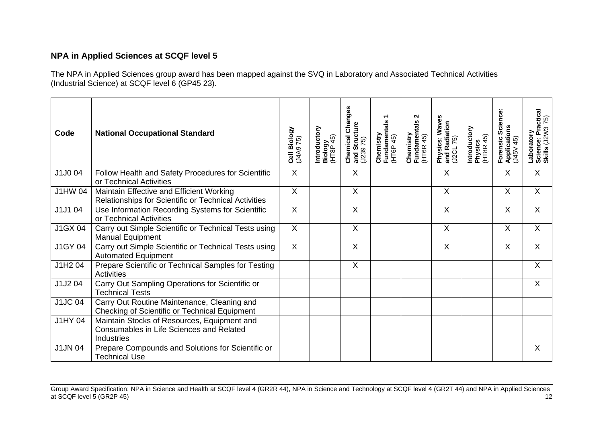## **NPA in Applied Sciences at SCQF level 5**

The NPA in Applied Sciences group award has been mapped against the SVQ in Laboratory and Associated Technical Activities (Industrial Science) at SCQF level 6 (GP45 23).

| Code           | <b>National Occupational Standard</b>                                                                 | Cell Biology<br>(J4A9 75) | Introductory<br>Biology<br>(HT8P 45) | <b>Chemical Changes</b><br>and Structure<br>$($ J239 75) | Chemistry<br>Fundamentals 1<br>(HT6P 45) | N<br>Fundamentals <i>'</i><br>(HT6R 45)<br>Chemistry | Physics: Waves<br>and Radiation<br>75)<br>U <sub>2</sub> CL | Introductory<br>Physics<br>(HT8R 45) | Science<br>Forensic Scie<br>Applications<br>(J45V 45) | Laboratory<br>Science: Practical<br>Skills (J2W3 75) |
|----------------|-------------------------------------------------------------------------------------------------------|---------------------------|--------------------------------------|----------------------------------------------------------|------------------------------------------|------------------------------------------------------|-------------------------------------------------------------|--------------------------------------|-------------------------------------------------------|------------------------------------------------------|
| J1J004         | Follow Health and Safety Procedures for Scientific<br>or Technical Activities                         | $\mathsf{X}$              |                                      | X                                                        |                                          |                                                      | X                                                           |                                      | X                                                     | X                                                    |
| <b>J1HW04</b>  | Maintain Effective and Efficient Working<br>Relationships for Scientific or Technical Activities      | X                         |                                      | $\sf X$                                                  |                                          |                                                      | $\sf X$                                                     |                                      | X                                                     | $\sf X$                                              |
| J1J1 04        | Use Information Recording Systems for Scientific<br>or Technical Activities                           | X                         |                                      | $\sf X$                                                  |                                          |                                                      | $\sf X$                                                     |                                      | X                                                     | $\sf X$                                              |
| J1GX 04        | Carry out Simple Scientific or Technical Tests using<br><b>Manual Equipment</b>                       | $\overline{X}$            |                                      | $\sf X$                                                  |                                          |                                                      | X                                                           |                                      | X                                                     | X                                                    |
| J1GY 04        | Carry out Simple Scientific or Technical Tests using<br><b>Automated Equipment</b>                    | $\overline{X}$            |                                      | $\overline{\mathsf{x}}$                                  |                                          |                                                      | $\sf X$                                                     |                                      | X                                                     | $\times$                                             |
| J1H204         | Prepare Scientific or Technical Samples for Testing<br>Activities                                     |                           |                                      | X                                                        |                                          |                                                      |                                                             |                                      |                                                       | $\sf X$                                              |
| J1J204         | Carry Out Sampling Operations for Scientific or<br><b>Technical Tests</b>                             |                           |                                      |                                                          |                                          |                                                      |                                                             |                                      |                                                       | $\sf X$                                              |
| <b>J1JC04</b>  | Carry Out Routine Maintenance, Cleaning and<br>Checking of Scientific or Technical Equipment          |                           |                                      |                                                          |                                          |                                                      |                                                             |                                      |                                                       |                                                      |
| J1HY 04        | Maintain Stocks of Resources, Equipment and<br>Consumables in Life Sciences and Related<br>Industries |                           |                                      |                                                          |                                          |                                                      |                                                             |                                      |                                                       |                                                      |
| <b>J1JN 04</b> | Prepare Compounds and Solutions for Scientific or<br><b>Technical Use</b>                             |                           |                                      |                                                          |                                          |                                                      |                                                             |                                      |                                                       | $\sf X$                                              |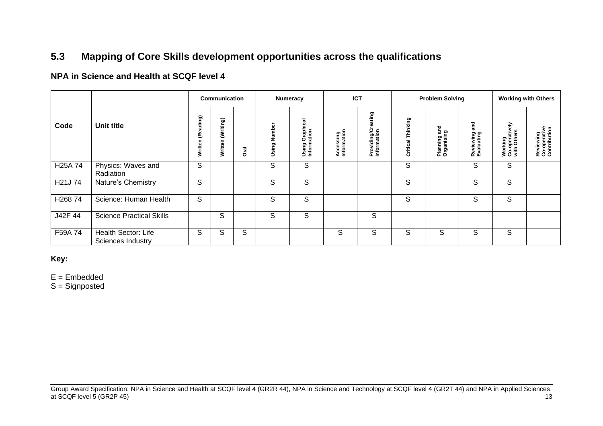# **5.3 Mapping of Core Skills development opportunities across the qualifications**

## **NPA in Science and Health at SCQF level 4**

|                      |                                          |                      | Communication        |        |              | Numeracy                               | <b>ICT</b>               |                                      |                      | <b>Problem Solving</b>               |                                |                                             | <b>Working with Others</b>                |
|----------------------|------------------------------------------|----------------------|----------------------|--------|--------------|----------------------------------------|--------------------------|--------------------------------------|----------------------|--------------------------------------|--------------------------------|---------------------------------------------|-------------------------------------------|
| Code                 | <b>Unit title</b>                        | (Reading)<br>Written | (Writing)<br>Written | ত<br>চ | Using Number | Graphical<br>ation<br>Using<br>Informa | Accessing<br>Information | ating<br>Providing/Cr<br>Information | Thinking<br>Critical | and<br>င္စာ<br>Planning<br>Organisin | and<br>Reviewing<br>Evaluating | 증<br>Working<br>Co-operative<br>with Others | Reviewing<br>Co-operative<br>Contribution |
| H <sub>25</sub> A 74 | Physics: Waves and<br>Radiation          | S                    |                      |        | S            | S                                      |                          |                                      | S                    |                                      | S                              | S                                           |                                           |
| H21J74               | Nature's Chemistry                       | S                    |                      |        | S            | S                                      |                          |                                      | S                    |                                      | S                              | S                                           |                                           |
| H26874               | Science: Human Health                    | S                    |                      |        | S            | S                                      |                          |                                      | S                    |                                      | S                              | S                                           |                                           |
| J42F 44              | <b>Science Practical Skills</b>          |                      | S                    |        | S            | S                                      |                          | S                                    |                      |                                      |                                |                                             |                                           |
| F59A 74              | Health Sector: Life<br>Sciences Industry | S                    | S                    | S      |              |                                        | S                        | S                                    | S                    | S                                    | S                              | S                                           |                                           |

#### <span id="page-14-0"></span>**Key:**

 $E =$  Embedded

S = Signposted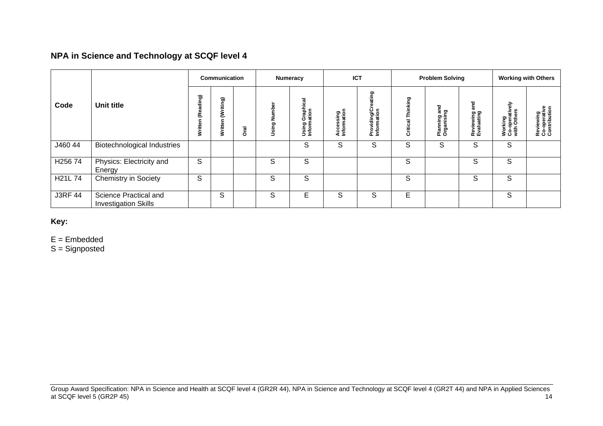## **NPA in Science and Technology at SCQF level 4**

|                | Communication                                        |                      |                         | Numeracy    |              | <b>ICT</b>                                    |                          | <b>Problem Solving</b>              |                      |                                     | <b>Working with Others</b>     |                                             |                                           |
|----------------|------------------------------------------------------|----------------------|-------------------------|-------------|--------------|-----------------------------------------------|--------------------------|-------------------------------------|----------------------|-------------------------------------|--------------------------------|---------------------------------------------|-------------------------------------------|
| Code           | Unit title                                           | (Reading)<br>Written | riting)<br>٤<br>Writter | <b>Oral</b> | Using Number | aphical<br>ation<br>ပ<br>ε<br>Using<br>Inform | Accessing<br>Information | ting<br>Providing/Cr<br>Information | Thinking<br>Critical | and<br>፵<br>ဥ<br>Plannir<br>Organis | and<br>Reviewing<br>Evaluating | 즒<br>Working<br>Co-operative<br>with Others | Reviewing<br>Co-operative<br>Contribution |
| J460 44        | <b>Biotechnological Industries</b>                   |                      |                         |             |              | S                                             | S                        | S                                   | S                    | S                                   | S                              | S                                           |                                           |
| H25674         | Physics: Electricity and<br>Energy                   | S                    |                         |             | S            | S                                             |                          |                                     | S                    |                                     | S                              | S                                           |                                           |
| H21L 74        | <b>Chemistry in Society</b>                          | S                    |                         |             | S            | S                                             |                          |                                     | S                    |                                     | S                              | S                                           |                                           |
| <b>J3RF 44</b> | Science Practical and<br><b>Investigation Skills</b> |                      | S                       |             | S            | E                                             | S                        | S                                   | E                    |                                     |                                | S                                           |                                           |

**Key:** 

E = Embedded

S = Signposted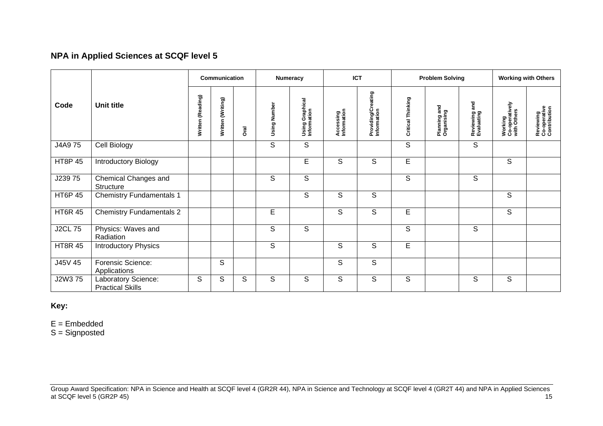## **NPA in Applied Sciences at SCQF level 5**

|                |                                                |                   | <b>Communication</b> |             |              | Numeracy                       |                          | <b>ICT</b>                        |                   | <b>Problem Solving</b>     |                             |                                          | <b>Working with Others</b>                |
|----------------|------------------------------------------------|-------------------|----------------------|-------------|--------------|--------------------------------|--------------------------|-----------------------------------|-------------------|----------------------------|-----------------------------|------------------------------------------|-------------------------------------------|
| Code           | Unit title                                     | Written (Reading) | Written (Writing)    | <b>Oral</b> | Using Number | Using Graphical<br>Information | Accessing<br>Information | Providing/Creating<br>Information | Critical Thinking | Planning and<br>Organising | Reviewing and<br>Evaluating | Working<br>Co-operatively<br>with Others | Reviewing<br>Co-operative<br>Contribution |
| J4A9 75        | Cell Biology                                   |                   |                      |             | $\mathbb S$  | $\mathsf S$                    |                          |                                   | S                 |                            | $\mathbb S$                 |                                          |                                           |
| <b>HT8P 45</b> | Introductory Biology                           |                   |                      |             |              | $\overline{E}$                 | S                        | S                                 | E                 |                            |                             | $\mathsf S$                              |                                           |
| J23975         | Chemical Changes and<br><b>Structure</b>       |                   |                      |             | S            | S                              |                          |                                   | S                 |                            | S                           |                                          |                                           |
| <b>HT6P 45</b> | <b>Chemistry Fundamentals 1</b>                |                   |                      |             |              | S                              | S                        | S                                 |                   |                            |                             | S                                        |                                           |
| <b>HT6R 45</b> | <b>Chemistry Fundamentals 2</b>                |                   |                      |             | E            |                                | $\mathsf S$              | S                                 | E                 |                            |                             | S                                        |                                           |
| <b>J2CL75</b>  | Physics: Waves and<br>Radiation                |                   |                      |             | $\mathsf S$  | S                              |                          |                                   | S                 |                            | S                           |                                          |                                           |
| <b>HT8R 45</b> | <b>Introductory Physics</b>                    |                   |                      |             | $\mathsf S$  |                                | $\mathsf S$              | S                                 | E                 |                            |                             |                                          |                                           |
| J45V 45        | Forensic Science:<br>Applications              |                   | S                    |             |              |                                | $\overline{s}$           | S                                 |                   |                            |                             |                                          |                                           |
| J2W3 75        | Laboratory Science:<br><b>Practical Skills</b> | S                 | S                    | S           | S            | S                              | S                        | S                                 | S                 |                            | S                           | S                                        |                                           |

**Key:** 

E = Embedded

S = Signposted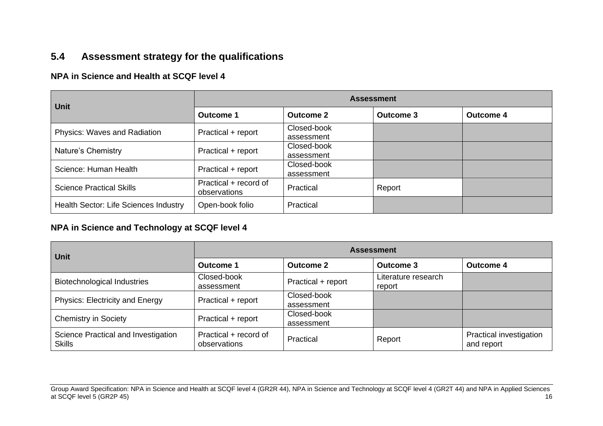# **5.4 Assessment strategy for the qualifications**

## **NPA in Science and Health at SCQF level 4**

| <b>Unit</b>                           | <b>Assessment</b>                     |                           |                  |                  |  |  |  |  |
|---------------------------------------|---------------------------------------|---------------------------|------------------|------------------|--|--|--|--|
|                                       | Outcome 1                             | Outcome 2                 | <b>Outcome 3</b> | <b>Outcome 4</b> |  |  |  |  |
| <b>Physics: Waves and Radiation</b>   | Practical + report                    | Closed-book<br>assessment |                  |                  |  |  |  |  |
| Nature's Chemistry                    | Practical + report                    | Closed-book<br>assessment |                  |                  |  |  |  |  |
| Science: Human Health                 | Practical + report                    | Closed-book<br>assessment |                  |                  |  |  |  |  |
| <b>Science Practical Skills</b>       | Practical + record of<br>observations | Practical                 | Report           |                  |  |  |  |  |
| Health Sector: Life Sciences Industry | Open-book folio                       | Practical                 |                  |                  |  |  |  |  |

### <span id="page-17-0"></span>**NPA in Science and Technology at SCQF level 4**

| <b>Unit</b>                                          | <b>Assessment</b>                     |                           |                               |                                       |  |  |  |
|------------------------------------------------------|---------------------------------------|---------------------------|-------------------------------|---------------------------------------|--|--|--|
|                                                      | <b>Outcome 1</b>                      | <b>Outcome 2</b>          | Outcome 3                     | <b>Outcome 4</b>                      |  |  |  |
| <b>Biotechnological Industries</b>                   | Closed-book<br>assessment             | Practical + report        | Literature research<br>report |                                       |  |  |  |
| <b>Physics: Electricity and Energy</b>               | Practical + report                    | Closed-book<br>assessment |                               |                                       |  |  |  |
| <b>Chemistry in Society</b>                          | Practical + report                    | Closed-book<br>assessment |                               |                                       |  |  |  |
| Science Practical and Investigation<br><b>Skills</b> | Practical + record of<br>observations | Practical                 | Report                        | Practical investigation<br>and report |  |  |  |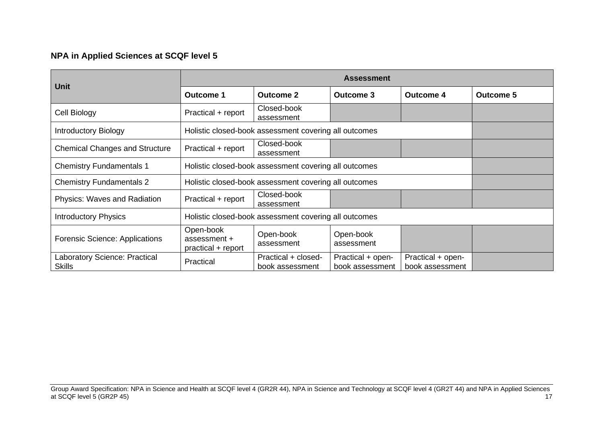## **NPA in Applied Sciences at SCQF level 5**

|                                                |                                                       | <b>Assessment</b>                                     |                                      |                                      |                  |  |  |  |  |  |
|------------------------------------------------|-------------------------------------------------------|-------------------------------------------------------|--------------------------------------|--------------------------------------|------------------|--|--|--|--|--|
| <b>Unit</b>                                    | <b>Outcome 1</b>                                      | <b>Outcome 2</b>                                      | Outcome 3                            | <b>Outcome 4</b>                     | <b>Outcome 5</b> |  |  |  |  |  |
| Cell Biology                                   | Practical + report                                    | Closed-book<br>assessment                             |                                      |                                      |                  |  |  |  |  |  |
| <b>Introductory Biology</b>                    |                                                       | Holistic closed-book assessment covering all outcomes |                                      |                                      |                  |  |  |  |  |  |
| <b>Chemical Changes and Structure</b>          | Practical + report                                    | Closed-book<br>assessment                             |                                      |                                      |                  |  |  |  |  |  |
| <b>Chemistry Fundamentals 1</b>                | Holistic closed-book assessment covering all outcomes |                                                       |                                      |                                      |                  |  |  |  |  |  |
| <b>Chemistry Fundamentals 2</b>                |                                                       | Holistic closed-book assessment covering all outcomes |                                      |                                      |                  |  |  |  |  |  |
| <b>Physics: Waves and Radiation</b>            | Practical + report                                    | Closed-book<br>assessment                             |                                      |                                      |                  |  |  |  |  |  |
| <b>Introductory Physics</b>                    |                                                       | Holistic closed-book assessment covering all outcomes |                                      |                                      |                  |  |  |  |  |  |
| Forensic Science: Applications                 | Open-book<br>assessment +<br>practical + report       | Open-book<br>assessment                               | Open-book<br>assessment              |                                      |                  |  |  |  |  |  |
| Laboratory Science: Practical<br><b>Skills</b> | Practical                                             | Practical + closed-<br>book assessment                | Practical + open-<br>book assessment | Practical + open-<br>book assessment |                  |  |  |  |  |  |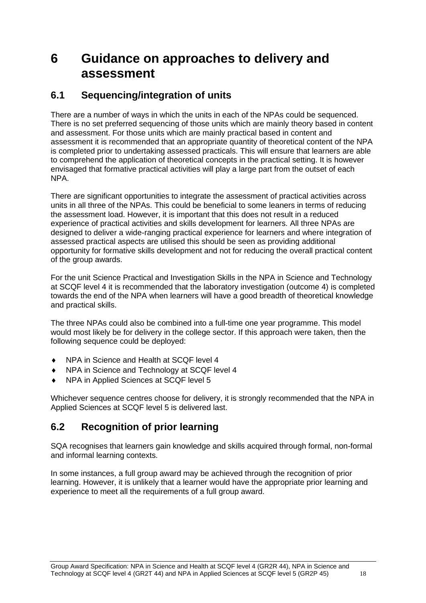# <span id="page-19-0"></span>**6 Guidance on approaches to delivery and assessment**

# <span id="page-19-1"></span>**6.1 Sequencing/integration of units**

There are a number of ways in which the units in each of the NPAs could be sequenced. There is no set preferred sequencing of those units which are mainly theory based in content and assessment. For those units which are mainly practical based in content and assessment it is recommended that an appropriate quantity of theoretical content of the NPA is completed prior to undertaking assessed practicals. This will ensure that learners are able to comprehend the application of theoretical concepts in the practical setting. It is however envisaged that formative practical activities will play a large part from the outset of each NPA.

There are significant opportunities to integrate the assessment of practical activities across units in all three of the NPAs. This could be beneficial to some leaners in terms of reducing the assessment load. However, it is important that this does not result in a reduced experience of practical activities and skills development for learners. All three NPAs are designed to deliver a wide-ranging practical experience for learners and where integration of assessed practical aspects are utilised this should be seen as providing additional opportunity for formative skills development and not for reducing the overall practical content of the group awards.

For the unit Science Practical and Investigation Skills in the NPA in Science and Technology at SCQF level 4 it is recommended that the laboratory investigation (outcome 4) is completed towards the end of the NPA when learners will have a good breadth of theoretical knowledge and practical skills.

The three NPAs could also be combined into a full-time one year programme. This model would most likely be for delivery in the college sector. If this approach were taken, then the following sequence could be deployed:

- NPA in Science and Health at SCQF level 4
- ◆ NPA in Science and Technology at SCQF level 4
- NPA in Applied Sciences at SCQF level 5

Whichever sequence centres choose for delivery, it is strongly recommended that the NPA in Applied Sciences at SCQF level 5 is delivered last.

# <span id="page-19-2"></span>**6.2 Recognition of prior learning**

SQA recognises that learners gain knowledge and skills acquired through formal, non-formal and informal learning contexts.

In some instances, a full group award may be achieved through the recognition of prior learning. However, it is unlikely that a learner would have the appropriate prior learning and experience to meet all the requirements of a full group award.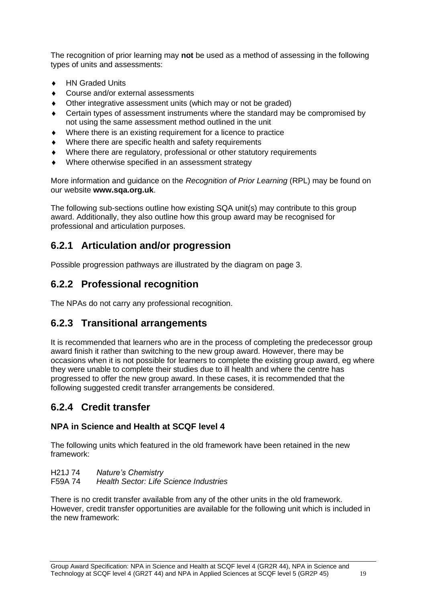The recognition of prior learning may **not** be used as a method of assessing in the following types of units and assessments:

- ◆ HN Graded Units
- Course and/or external assessments
- Other integrative assessment units (which may or not be graded)
- Certain types of assessment instruments where the standard may be compromised by not using the same assessment method outlined in the unit
- Where there is an existing requirement for a licence to practice
- Where there are specific health and safety requirements
- Where there are regulatory, professional or other statutory requirements
- Where otherwise specified in an assessment strategy

More information and guidance on the *Recognition of Prior Learning* (RPL) may be found on our website **[www.sqa.org.uk](http://www.sqa.org.uk/)**.

The following sub-sections outline how existing SQA unit(s) may contribute to this group award. Additionally, they also outline how this group award may be recognised for professional and articulation purposes.

# **6.2.1 Articulation and/or progression**

Possible progression pathways are illustrated by the diagram on page 3.

# **6.2.2 Professional recognition**

The NPAs do not carry any professional recognition.

# **6.2.3 Transitional arrangements**

It is recommended that learners who are in the process of completing the predecessor group award finish it rather than switching to the new group award. However, there may be occasions when it is not possible for learners to complete the existing group award, eg where they were unable to complete their studies due to ill health and where the centre has progressed to offer the new group award. In these cases, it is recommended that the following suggested credit transfer arrangements be considered.

# **6.2.4 Credit transfer**

## **NPA in Science and Health at SCQF level 4**

The following units which featured in the old framework have been retained in the new framework:

H21J 74 *Nature's Chemistry*  **Health Sector: Life Science Industries** 

There is no credit transfer available from any of the other units in the old framework. However, credit transfer opportunities are available for the following unit which is included in the new framework: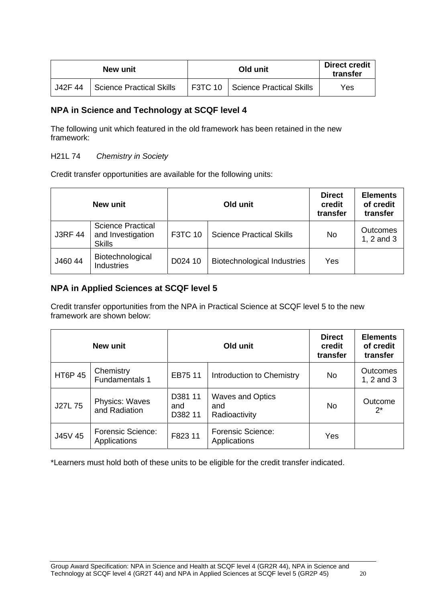|         | New unit                 |  | <b>Direct credit</b><br>transfer        |     |
|---------|--------------------------|--|-----------------------------------------|-----|
| J42F 44 | Science Practical Skills |  | <b>F3TC 10 Science Practical Skills</b> | Yes |

## **NPA in Science and Technology at SCQF level 4**

The following unit which featured in the old framework has been retained in the new framework:

### H21L 74 *Chemistry in Society*

Credit transfer opportunities are available for the following units:

| New unit       |                                                                |                | Old unit                           | <b>Direct</b><br>credit<br>transfer | <b>Elements</b><br>of credit<br>transfer |
|----------------|----------------------------------------------------------------|----------------|------------------------------------|-------------------------------------|------------------------------------------|
| <b>J3RF 44</b> | <b>Science Practical</b><br>and Investigation<br><b>Skills</b> | <b>F3TC 10</b> | <b>Science Practical Skills</b>    | <b>No</b>                           | <b>Outcomes</b><br>1, 2 and 3            |
| J460 44        | Biotechnological<br><b>Industries</b>                          | D024 10        | <b>Biotechnological Industries</b> | Yes                                 |                                          |

## **NPA in Applied Sciences at SCQF level 5**

Credit transfer opportunities from the NPA in Practical Science at SCQF level 5 to the new framework are shown below:

| <b>New unit</b> |                                          |                           | Old unit                                        | <b>Direct</b><br>credit<br>transfer | <b>Elements</b><br>of credit<br>transfer |
|-----------------|------------------------------------------|---------------------------|-------------------------------------------------|-------------------------------------|------------------------------------------|
| <b>HT6P 45</b>  | Chemistry<br>Fundamentals 1              | EB75 11                   | Introduction to Chemistry                       | <b>No</b>                           | <b>Outcomes</b><br>1, 2 and 3            |
| J27L 75         | Physics: Waves<br>and Radiation          | D381 11<br>and<br>D382 11 | <b>Waves and Optics</b><br>and<br>Radioactivity | No.                                 | Outcome<br>$2^*$                         |
| J45V 45         | <b>Forensic Science:</b><br>Applications | F823 11                   | <b>Forensic Science:</b><br>Applications        | Yes                                 |                                          |

\*Learners must hold both of these units to be eligible for the credit transfer indicated.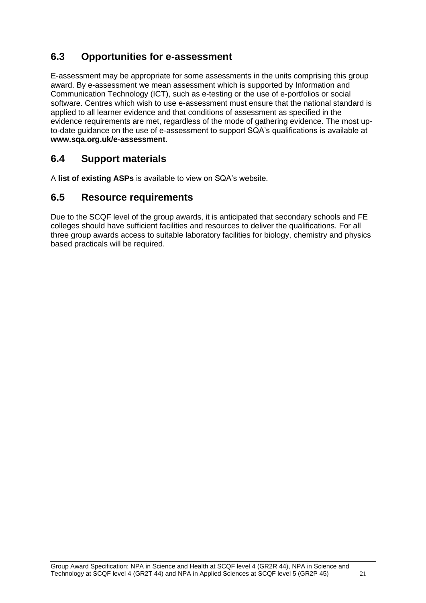# <span id="page-22-0"></span>**6.3 Opportunities for e-assessment**

E-assessment may be appropriate for some assessments in the units comprising this group award. By e-assessment we mean assessment which is supported by Information and Communication Technology (ICT), such as e-testing or the use of e-portfolios or social software. Centres which wish to use e-assessment must ensure that the national standard is applied to all learner evidence and that conditions of assessment as specified in the evidence requirements are met, regardless of the mode of gathering evidence. The most upto-date guidance on the use of e-assessment to support SQA's qualifications is available at **www.sqa.org.uk/e-assessment**.

# <span id="page-22-1"></span>**6.4 Support materials**

A **[list of existing ASPs](http://www.sqa.org.uk/sqa/46233.2769.html)** is available to view on SQA's website.

# <span id="page-22-2"></span>**6.5 Resource requirements**

Due to the SCQF level of the group awards, it is anticipated that secondary schools and FE colleges should have sufficient facilities and resources to deliver the qualifications. For all three group awards access to suitable laboratory facilities for biology, chemistry and physics based practicals will be required.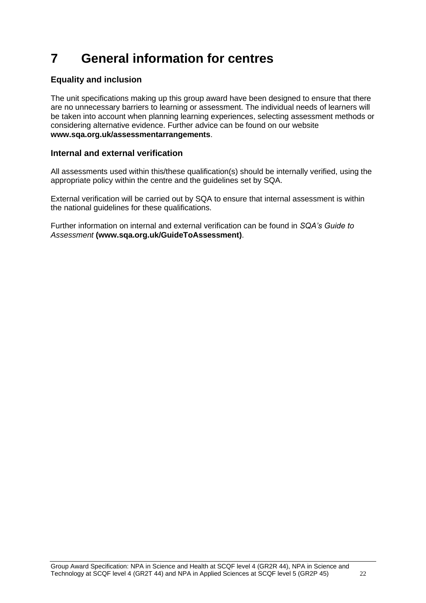# <span id="page-23-0"></span>**7 General information for centres**

## **Equality and inclusion**

The unit specifications making up this group award have been designed to ensure that there are no unnecessary barriers to learning or assessment. The individual needs of learners will be taken into account when planning learning experiences, selecting assessment methods or considering alternative evidence. Further advice can be found on our website **[www.sqa.org.uk/assessmentarrangements](http://www.sqa.org.uk/sqa/14977.html)**.

### **Internal and external verification**

All assessments used within this/these qualification(s) should be internally verified, using the appropriate policy within the centre and the guidelines set by SQA.

External verification will be carried out by SQA to ensure that internal assessment is within the national guidelines for these qualifications.

Further information on internal and external verification can be found in *SQA's Guide to Assessment* **[\(www.sqa.org.uk/GuideToAssessment\)](http://www.sqa.org.uk/sqa/files_ccc/GuideToAssessment.pdf)**.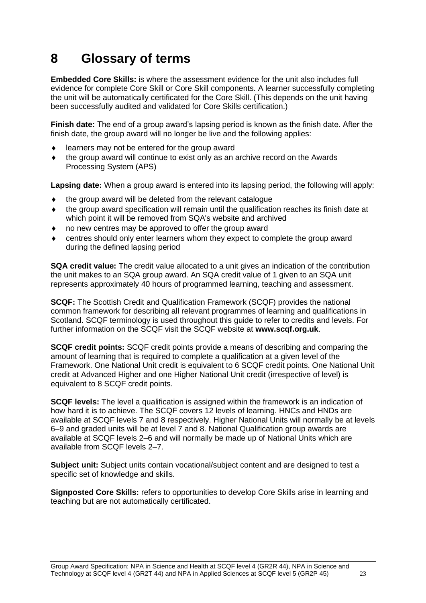# <span id="page-24-0"></span>**8 Glossary of terms**

**Embedded Core Skills:** is where the assessment evidence for the unit also includes full evidence for complete Core Skill or Core Skill components. A learner successfully completing the unit will be automatically certificated for the Core Skill. (This depends on the unit having been successfully audited and validated for Core Skills certification.)

**Finish date:** The end of a group award's lapsing period is known as the finish date. After the finish date, the group award will no longer be live and the following applies:

- learners may not be entered for the group award
- the group award will continue to exist only as an archive record on the Awards Processing System (APS)

**Lapsing date:** When a group award is entered into its lapsing period, the following will apply:

- $\bullet$  the group award will be deleted from the relevant catalogue
- the group award specification will remain until the qualification reaches its finish date at which point it will be removed from SQA's website and archived
- no new centres may be approved to offer the group award
- centres should only enter learners whom they expect to complete the group award during the defined lapsing period

**SQA credit value:** The credit value allocated to a unit gives an indication of the contribution the unit makes to an SQA group award. An SQA credit value of 1 given to an SQA unit represents approximately 40 hours of programmed learning, teaching and assessment.

**SCQF:** The Scottish Credit and Qualification Framework (SCQF) provides the national common framework for describing all relevant programmes of learning and qualifications in Scotland. SCQF terminology is used throughout this guide to refer to credits and levels. For further information on the SCQF visit the SCQF website at **[www.scqf.org.uk](http://www.scqf.org.uk/)**.

**SCQF credit points:** SCQF credit points provide a means of describing and comparing the amount of learning that is required to complete a qualification at a given level of the Framework. One National Unit credit is equivalent to 6 SCQF credit points. One National Unit credit at Advanced Higher and one Higher National Unit credit (irrespective of level) is equivalent to 8 SCQF credit points.

**SCQF levels:** The level a qualification is assigned within the framework is an indication of how hard it is to achieve. The SCQF covers 12 levels of learning. HNCs and HNDs are available at SCQF levels 7 and 8 respectively. Higher National Units will normally be at levels 6–9 and graded units will be at level 7 and 8. National Qualification group awards are available at SCQF levels 2–6 and will normally be made up of National Units which are available from SCQF levels 2–7.

**Subject unit:** Subject units contain vocational/subject content and are designed to test a specific set of knowledge and skills.

**Signposted Core Skills:** refers to opportunities to develop Core Skills arise in learning and teaching but are not automatically certificated.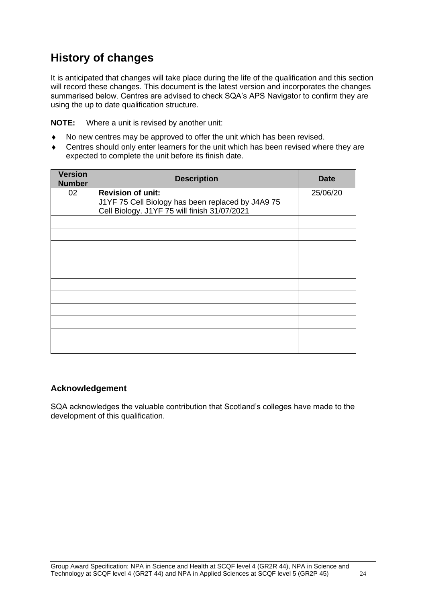# **History of changes**

It is anticipated that changes will take place during the life of the qualification and this section will record these changes. This document is the latest version and incorporates the changes summarised below. Centres are advised to check SQA's APS Navigator to confirm they are using the up to date qualification structure.

**NOTE:** Where a unit is revised by another unit:

- No new centres may be approved to offer the unit which has been revised.
- Centres should only enter learners for the unit which has been revised where they are expected to complete the unit before its finish date.

| <b>Version</b><br><b>Number</b> | <b>Description</b>                                | <b>Date</b> |
|---------------------------------|---------------------------------------------------|-------------|
| 02                              | <b>Revision of unit:</b>                          | 25/06/20    |
|                                 | J1YF 75 Cell Biology has been replaced by J4A9 75 |             |
|                                 | Cell Biology. J1YF 75 will finish 31/07/2021      |             |
|                                 |                                                   |             |
|                                 |                                                   |             |
|                                 |                                                   |             |
|                                 |                                                   |             |
|                                 |                                                   |             |
|                                 |                                                   |             |
|                                 |                                                   |             |
|                                 |                                                   |             |
|                                 |                                                   |             |
|                                 |                                                   |             |
|                                 |                                                   |             |

## **Acknowledgement**

SQA acknowledges the valuable contribution that Scotland's colleges have made to the development of this qualification.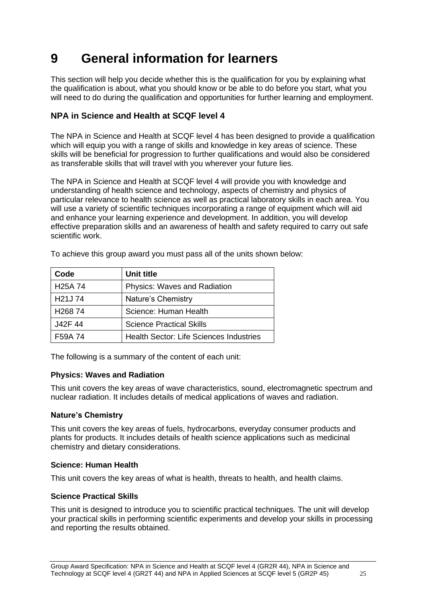# <span id="page-26-0"></span>**9 General information for learners**

This section will help you decide whether this is the qualification for you by explaining what the qualification is about, what you should know or be able to do before you start, what you will need to do during the qualification and opportunities for further learning and employment.

## **NPA in Science and Health at SCQF level 4**

The NPA in Science and Health at SCQF level 4 has been designed to provide a qualification which will equip you with a range of skills and knowledge in key areas of science. These skills will be beneficial for progression to further qualifications and would also be considered as transferable skills that will travel with you wherever your future lies.

The NPA in Science and Health at SCQF level 4 will provide you with knowledge and understanding of health science and technology, aspects of chemistry and physics of particular relevance to health science as well as practical laboratory skills in each area. You will use a variety of scientific techniques incorporating a range of equipment which will aid and enhance your learning experience and development. In addition, you will develop effective preparation skills and an awareness of health and safety required to carry out safe scientific work.

| Code                 | Unit title                                     |
|----------------------|------------------------------------------------|
| H <sub>25</sub> A 74 | Physics: Waves and Radiation                   |
| H <sub>21</sub> J 74 | Nature's Chemistry                             |
| H <sub>268</sub> 74  | Science: Human Health                          |
| J42F 44              | <b>Science Practical Skills</b>                |
| F <sub>59</sub> A 74 | <b>Health Sector: Life Sciences Industries</b> |

To achieve this group award you must pass all of the units shown below:

The following is a summary of the content of each unit:

### **Physics: Waves and Radiation**

This unit covers the key areas of wave characteristics, sound, electromagnetic spectrum and nuclear radiation. It includes details of medical applications of waves and radiation.

### **Nature's Chemistry**

This unit covers the key areas of fuels, hydrocarbons, everyday consumer products and plants for products. It includes details of health science applications such as medicinal chemistry and dietary considerations.

#### **Science: Human Health**

This unit covers the key areas of what is health, threats to health, and health claims.

### **Science Practical Skills**

This unit is designed to introduce you to scientific practical techniques. The unit will develop your practical skills in performing scientific experiments and develop your skills in processing and reporting the results obtained.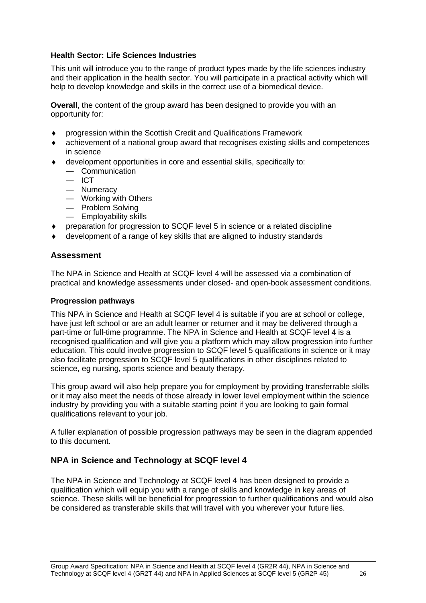#### **Health Sector: Life Sciences Industries**

This unit will introduce you to the range of product types made by the life sciences industry and their application in the health sector. You will participate in a practical activity which will help to develop knowledge and skills in the correct use of a biomedical device.

**Overall**, the content of the group award has been designed to provide you with an opportunity for:

- progression within the Scottish Credit and Qualifications Framework
- achievement of a national group award that recognises existing skills and competences in science
- development opportunities in core and essential skills, specifically to:
	- Communication
	- $-$  ICT
	- Numeracy
	- Working with Others
	- Problem Solving
	- Employability skills
- preparation for progression to SCQF level 5 in science or a related discipline
- development of a range of key skills that are aligned to industry standards

### **Assessment**

The NPA in Science and Health at SCQF level 4 will be assessed via a combination of practical and knowledge assessments under closed- and open-book assessment conditions.

#### **Progression pathways**

This NPA in Science and Health at SCQF level 4 is suitable if you are at school or college, have just left school or are an adult learner or returner and it may be delivered through a part-time or full-time programme. The NPA in Science and Health at SCQF level 4 is a recognised qualification and will give you a platform which may allow progression into further education. This could involve progression to SCQF level 5 qualifications in science or it may also facilitate progression to SCQF level 5 qualifications in other disciplines related to science, eg nursing, sports science and beauty therapy.

This group award will also help prepare you for employment by providing transferrable skills or it may also meet the needs of those already in lower level employment within the science industry by providing you with a suitable starting point if you are looking to gain formal qualifications relevant to your job.

A fuller explanation of possible progression pathways may be seen in the diagram appended to this document.

### **NPA in Science and Technology at SCQF level 4**

The NPA in Science and Technology at SCQF level 4 has been designed to provide a qualification which will equip you with a range of skills and knowledge in key areas of science. These skills will be beneficial for progression to further qualifications and would also be considered as transferable skills that will travel with you wherever your future lies.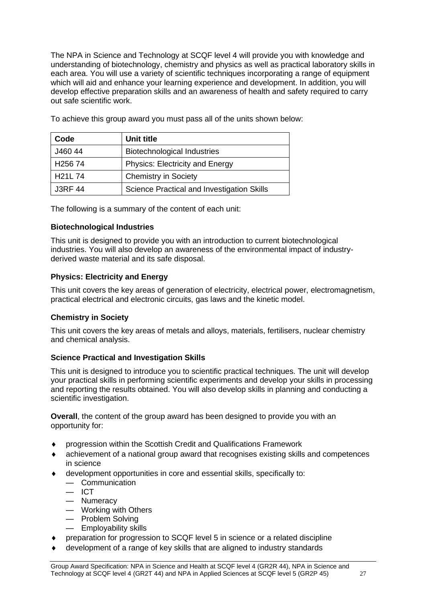The NPA in Science and Technology at SCQF level 4 will provide you with knowledge and understanding of biotechnology, chemistry and physics as well as practical laboratory skills in each area. You will use a variety of scientific techniques incorporating a range of equipment which will aid and enhance your learning experience and development. In addition, you will develop effective preparation skills and an awareness of health and safety required to carry out safe scientific work.

| Code                            | Unit title                                 |
|---------------------------------|--------------------------------------------|
| J460 44                         | <b>Biotechnological Industries</b>         |
| H <sub>256</sub> 74             | <b>Physics: Electricity and Energy</b>     |
| H <sub>21</sub> L <sub>74</sub> | <b>Chemistry in Society</b>                |
| <b>J3RF 44</b>                  | Science Practical and Investigation Skills |

To achieve this group award you must pass all of the units shown below:

The following is a summary of the content of each unit:

### **Biotechnological Industries**

This unit is designed to provide you with an introduction to current biotechnological industries. You will also develop an awareness of the environmental impact of industryderived waste material and its safe disposal.

### **Physics: Electricity and Energy**

This unit covers the key areas of generation of electricity, electrical power, electromagnetism, practical electrical and electronic circuits, gas laws and the kinetic model.

### **Chemistry in Society**

This unit covers the key areas of metals and alloys, materials, fertilisers, nuclear chemistry and chemical analysis.

### **Science Practical and Investigation Skills**

This unit is designed to introduce you to scientific practical techniques. The unit will develop your practical skills in performing scientific experiments and develop your skills in processing and reporting the results obtained. You will also develop skills in planning and conducting a scientific investigation.

**Overall**, the content of the group award has been designed to provide you with an opportunity for:

- progression within the Scottish Credit and Qualifications Framework
- achievement of a national group award that recognises existing skills and competences in science
- development opportunities in core and essential skills, specifically to:
	- Communication
	- $-$  ICT
	- Numeracy
	- Working with Others
	- Problem Solving
	- Employability skills
- preparation for progression to SCQF level 5 in science or a related discipline
- development of a range of key skills that are aligned to industry standards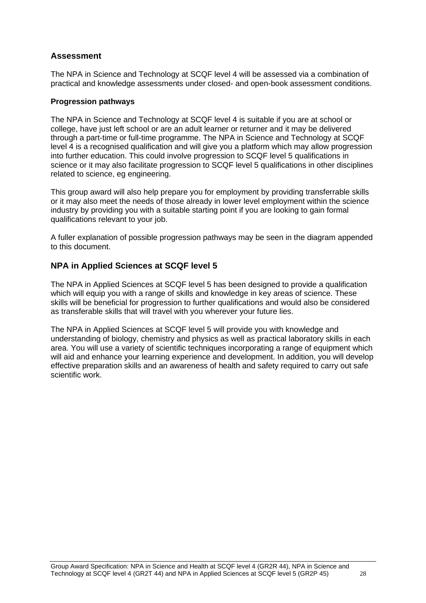## **Assessment**

The NPA in Science and Technology at SCQF level 4 will be assessed via a combination of practical and knowledge assessments under closed- and open-book assessment conditions.

#### **Progression pathways**

The NPA in Science and Technology at SCQF level 4 is suitable if you are at school or college, have just left school or are an adult learner or returner and it may be delivered through a part-time or full-time programme. The NPA in Science and Technology at SCQF level 4 is a recognised qualification and will give you a platform which may allow progression into further education. This could involve progression to SCQF level 5 qualifications in science or it may also facilitate progression to SCQF level 5 qualifications in other disciplines related to science, eg engineering.

This group award will also help prepare you for employment by providing transferrable skills or it may also meet the needs of those already in lower level employment within the science industry by providing you with a suitable starting point if you are looking to gain formal qualifications relevant to your job.

A fuller explanation of possible progression pathways may be seen in the diagram appended to this document.

### **NPA in Applied Sciences at SCQF level 5**

The NPA in Applied Sciences at SCQF level 5 has been designed to provide a qualification which will equip you with a range of skills and knowledge in key areas of science. These skills will be beneficial for progression to further qualifications and would also be considered as transferable skills that will travel with you wherever your future lies.

The NPA in Applied Sciences at SCQF level 5 will provide you with knowledge and understanding of biology, chemistry and physics as well as practical laboratory skills in each area. You will use a variety of scientific techniques incorporating a range of equipment which will aid and enhance your learning experience and development. In addition, you will develop effective preparation skills and an awareness of health and safety required to carry out safe scientific work.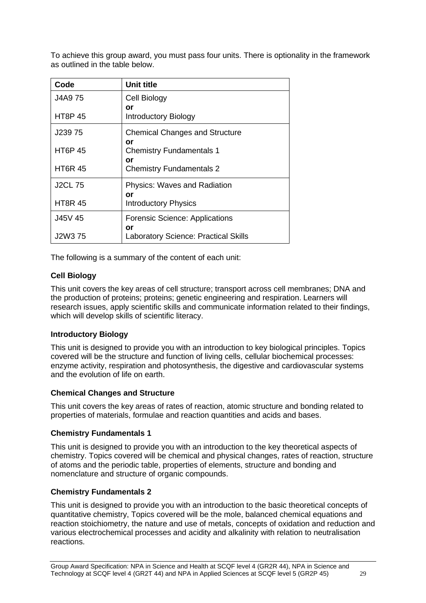To achieve this group award, you must pass four units. There is optionality in the framework as outlined in the table below.

| Code           | <b>Unit title</b>                           |
|----------------|---------------------------------------------|
| J4A9 75        | Cell Biology<br>or                          |
| <b>HT8P 45</b> | Introductory Biology                        |
| J239 75        | <b>Chemical Changes and Structure</b><br>or |
| <b>HT6P 45</b> | <b>Chemistry Fundamentals 1</b><br>or       |
| <b>HT6R 45</b> | <b>Chemistry Fundamentals 2</b>             |
| <b>J2CL 75</b> | <b>Physics: Waves and Radiation</b><br>or   |
| <b>HT8R 45</b> | <b>Introductory Physics</b>                 |
| J45V 45        | <b>Forensic Science: Applications</b><br>or |
| J2W3 75        | <b>Laboratory Science: Practical Skills</b> |

The following is a summary of the content of each unit:

### **Cell Biology**

This unit covers the key areas of cell structure; transport across cell membranes; DNA and the production of proteins; proteins; genetic engineering and respiration. Learners will research issues, apply scientific skills and communicate information related to their findings, which will develop skills of scientific literacy.

### **Introductory Biology**

This unit is designed to provide you with an introduction to key biological principles. Topics covered will be the structure and function of living cells, cellular biochemical processes: enzyme activity, respiration and photosynthesis, the digestive and cardiovascular systems and the evolution of life on earth.

#### **Chemical Changes and Structure**

This unit covers the key areas of rates of reaction, atomic structure and bonding related to properties of materials, formulae and reaction quantities and acids and bases.

#### **Chemistry Fundamentals 1**

This unit is designed to provide you with an introduction to the key theoretical aspects of chemistry. Topics covered will be chemical and physical changes, rates of reaction, structure of atoms and the periodic table, properties of elements, structure and bonding and nomenclature and structure of organic compounds.

### **Chemistry Fundamentals 2**

This unit is designed to provide you with an introduction to the basic theoretical concepts of quantitative chemistry, Topics covered will be the mole, balanced chemical equations and reaction stoichiometry, the nature and use of metals, concepts of oxidation and reduction and various electrochemical processes and acidity and alkalinity with relation to neutralisation reactions.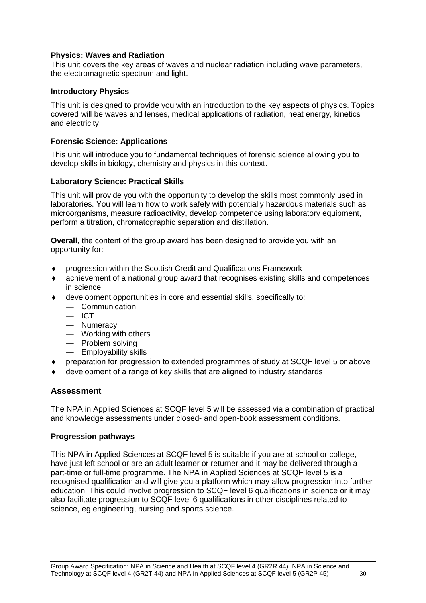#### **Physics: Waves and Radiation**

This unit covers the key areas of waves and nuclear radiation including wave parameters, the electromagnetic spectrum and light.

#### **Introductory Physics**

This unit is designed to provide you with an introduction to the key aspects of physics. Topics covered will be waves and lenses, medical applications of radiation, heat energy, kinetics and electricity.

#### **Forensic Science: Applications**

This unit will introduce you to fundamental techniques of forensic science allowing you to develop skills in biology, chemistry and physics in this context.

#### **Laboratory Science: Practical Skills**

This unit will provide you with the opportunity to develop the skills most commonly used in laboratories. You will learn how to work safely with potentially hazardous materials such as microorganisms, measure radioactivity, develop competence using laboratory equipment, perform a titration, chromatographic separation and distillation.

**Overall**, the content of the group award has been designed to provide you with an opportunity for:

- progression within the Scottish Credit and Qualifications Framework
- achievement of a national group award that recognises existing skills and competences in science
- development opportunities in core and essential skills, specifically to:
	- Communication
	- $-$  ICT
	- Numeracy
	- Working with others
	- Problem solving
	- Employability skills
- preparation for progression to extended programmes of study at SCQF level 5 or above
- development of a range of key skills that are aligned to industry standards

### **Assessment**

The NPA in Applied Sciences at SCQF level 5 will be assessed via a combination of practical and knowledge assessments under closed- and open-book assessment conditions.

#### **Progression pathways**

This NPA in Applied Sciences at SCQF level 5 is suitable if you are at school or college, have just left school or are an adult learner or returner and it may be delivered through a part-time or full-time programme. The NPA in Applied Sciences at SCQF level 5 is a recognised qualification and will give you a platform which may allow progression into further education. This could involve progression to SCQF level 6 qualifications in science or it may also facilitate progression to SCQF level 6 qualifications in other disciplines related to science, eg engineering, nursing and sports science.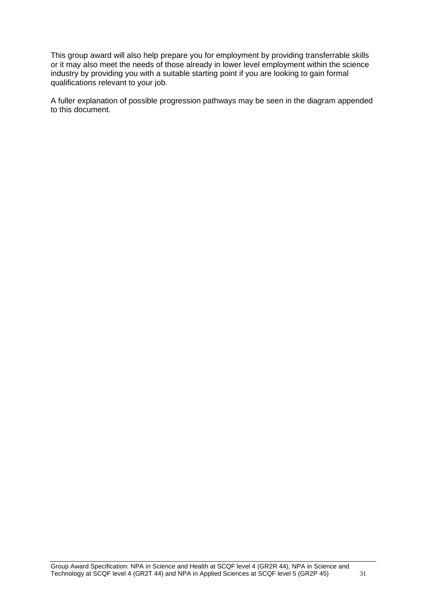This group award will also help prepare you for employment by providing transferrable skills or it may also meet the needs of those already in lower level employment within the science industry by providing you with a suitable starting point if you are looking to gain formal qualifications relevant to your job.

A fuller explanation of possible progression pathways may be seen in the diagram appended to this document.